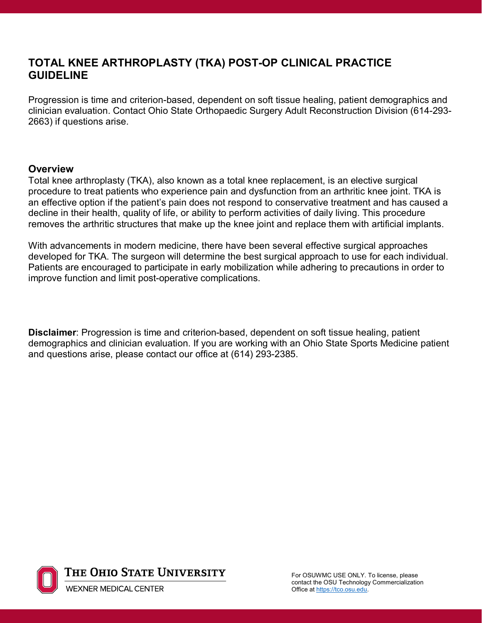## **TOTAL KNEE ARTHROPLASTY (TKA) POST-OP CLINICAL PRACTICE GUIDELINE**

Progression is time and criterion-based, dependent on soft tissue healing, patient demographics and clinician evaluation. Contact Ohio State Orthopaedic Surgery Adult Reconstruction Division (614-293- 2663) if questions arise.

### **Overview**

Total knee arthroplasty (TKA), also known as a total knee replacement, is an elective surgical procedure to treat patients who experience pain and dysfunction from an arthritic knee joint. TKA is an effective option if the patient's pain does not respond to conservative treatment and has caused a decline in their health, quality of life, or ability to perform activities of daily living. This procedure removes the arthritic structures that make up the knee joint and replace them with artificial implants.

With advancements in modern medicine, there have been several effective surgical approaches developed for TKA. The surgeon will determine the best surgical approach to use for each individual. Patients are encouraged to participate in early mobilization while adhering to precautions in order to improve function and limit post-operative complications.

**Disclaimer**: Progression is time and criterion-based, dependent on soft tissue healing, patient demographics and clinician evaluation. If you are working with an Ohio State Sports Medicine patient and questions arise, please contact our office at (614) 293-2385.

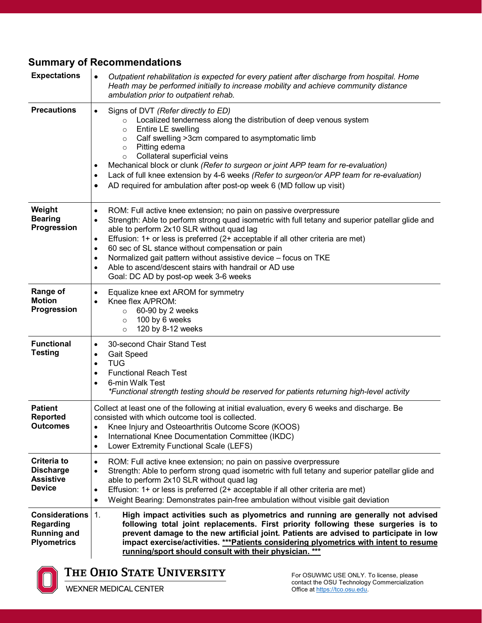# **Summary of Recommendations**

| <b>Expectations</b>                                                                   | Outpatient rehabilitation is expected for every patient after discharge from hospital. Home<br>$\bullet$<br>Heath may be performed initially to increase mobility and achieve community distance<br>ambulation prior to outpatient rehab.                                                                                                                                                                                                                                                                                                                                                                   |
|---------------------------------------------------------------------------------------|-------------------------------------------------------------------------------------------------------------------------------------------------------------------------------------------------------------------------------------------------------------------------------------------------------------------------------------------------------------------------------------------------------------------------------------------------------------------------------------------------------------------------------------------------------------------------------------------------------------|
| <b>Precautions</b>                                                                    | Signs of DVT (Refer directly to ED)<br>$\bullet$<br>Localized tenderness along the distribution of deep venous system<br>$\circ$<br>Entire LE swelling<br>$\circ$<br>Calf swelling >3cm compared to asymptomatic limb<br>$\circ$<br>Pitting edema<br>$\circ$<br>Collateral superficial veins<br>$\circ$<br>Mechanical block or clunk (Refer to surgeon or joint APP team for re-evaluation)<br>٠<br>Lack of full knee extension by 4-6 weeks (Refer to surgeon/or APP team for re-evaluation)<br>$\bullet$<br>AD required for ambulation after post-op week 6 (MD follow up visit)<br>٠                     |
| Weight<br><b>Bearing</b><br>Progression                                               | ROM: Full active knee extension; no pain on passive overpressure<br>$\bullet$<br>Strength: Able to perform strong quad isometric with full tetany and superior patellar glide and<br>$\bullet$<br>able to perform 2x10 SLR without quad lag<br>Effusion: 1+ or less is preferred (2+ acceptable if all other criteria are met)<br>$\bullet$<br>60 sec of SL stance without compensation or pain<br>$\bullet$<br>Normalized gait pattern without assistive device - focus on TKE<br>$\bullet$<br>Able to ascend/descent stairs with handrail or AD use<br>$\bullet$<br>Goal: DC AD by post-op week 3-6 weeks |
| <b>Range of</b><br><b>Motion</b><br>Progression                                       | Equalize knee ext AROM for symmetry<br>$\bullet$<br>Knee flex A/PROM:<br>$\bullet$<br>60-90 by 2 weeks<br>$\circ$<br>100 by 6 weeks<br>$\circ$<br>120 by 8-12 weeks<br>$\circ$                                                                                                                                                                                                                                                                                                                                                                                                                              |
| <b>Functional</b><br><b>Testing</b>                                                   | 30-second Chair Stand Test<br>$\bullet$<br><b>Gait Speed</b><br>٠<br><b>TUG</b><br>$\bullet$<br><b>Functional Reach Test</b><br>$\bullet$<br>6-min Walk Test<br>$\bullet$<br>*Functional strength testing should be reserved for patients returning high-level activity                                                                                                                                                                                                                                                                                                                                     |
| <b>Patient</b><br><b>Reported</b><br><b>Outcomes</b>                                  | Collect at least one of the following at initial evaluation, every 6 weeks and discharge. Be<br>consisted with which outcome tool is collected.<br>Knee Injury and Osteoarthritis Outcome Score (KOOS)<br>$\bullet$<br>International Knee Documentation Committee (IKDC)<br>٠<br>Lower Extremity Functional Scale (LEFS)<br>$\bullet$                                                                                                                                                                                                                                                                       |
| <b>Criteria to</b><br><b>Discharge</b><br><b>Assistive</b><br><b>Device</b>           | ROM: Full active knee extension; no pain on passive overpressure<br>$\bullet$<br>Strength: Able to perform strong quad isometric with full tetany and superior patellar glide and<br>$\bullet$<br>able to perform 2x10 SLR without quad lag<br>Effusion: 1+ or less is preferred (2+ acceptable if all other criteria are met)<br>$\bullet$<br>Weight Bearing: Demonstrates pain-free ambulation without visible gait deviation<br>$\bullet$                                                                                                                                                                |
| <b>Considerations</b><br><b>Regarding</b><br><b>Running and</b><br><b>Plyometrics</b> | 1.<br>High impact activities such as plyometrics and running are generally not advised<br>following total joint replacements. First priority following these surgeries is to<br>prevent damage to the new artificial joint. Patients are advised to participate in low<br>impact exercise/activities. ***Patients considering plyometrics with intent to resume<br>running/sport should consult with their physician. ***                                                                                                                                                                                   |

# THE OHIO STATE UNIVERSITY

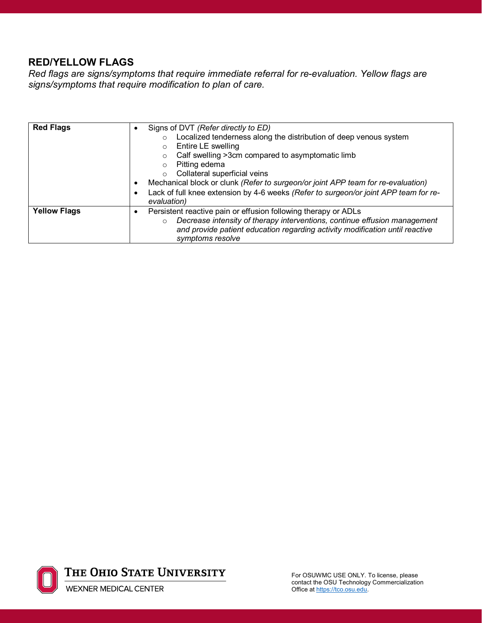### **RED/YELLOW FLAGS**

*Red flags are signs/symptoms that require immediate referral for re-evaluation. Yellow flags are signs/symptoms that require modification to plan of care.* 

| <b>Red Flags</b>    | Signs of DVT (Refer directly to ED)<br>$\bullet$<br>Localized tenderness along the distribution of deep venous system<br>$\circ$<br>Entire LE swelling<br>O<br>Calf swelling >3cm compared to asymptomatic limb<br>O<br>Pitting edema<br>$\circ$<br>Collateral superficial veins<br>$\circ$<br>Mechanical block or clunk (Refer to surgeon/or joint APP team for re-evaluation)<br>٠<br>Lack of full knee extension by 4-6 weeks (Refer to surgeon/or joint APP team for re-<br>evaluation) |
|---------------------|---------------------------------------------------------------------------------------------------------------------------------------------------------------------------------------------------------------------------------------------------------------------------------------------------------------------------------------------------------------------------------------------------------------------------------------------------------------------------------------------|
| <b>Yellow Flags</b> | Persistent reactive pain or effusion following therapy or ADLs<br>٠<br>Decrease intensity of therapy interventions, continue effusion management<br>$\circ$<br>and provide patient education regarding activity modification until reactive<br>symptoms resolve                                                                                                                                                                                                                             |

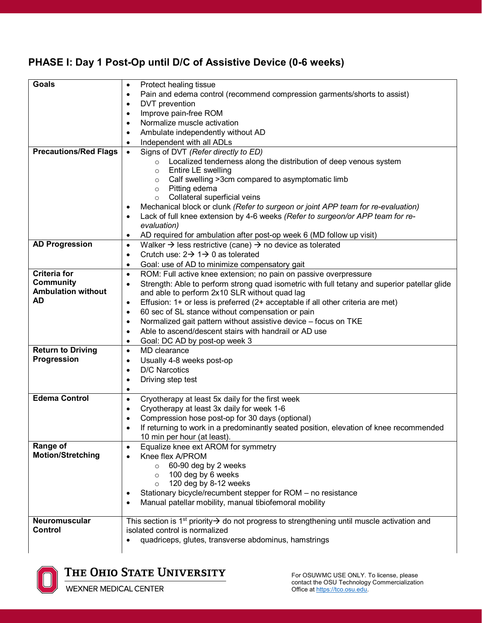## **PHASE I: Day 1 Post-Op until D/C of Assistive Device (0-6 weeks)**

| <b>Goals</b>                 | Protect healing tissue<br>٠                                                                                                                            |
|------------------------------|--------------------------------------------------------------------------------------------------------------------------------------------------------|
|                              | Pain and edema control (recommend compression garments/shorts to assist)<br>$\bullet$                                                                  |
|                              | DVT prevention<br>$\bullet$                                                                                                                            |
|                              | Improve pain-free ROM<br>$\bullet$                                                                                                                     |
|                              | Normalize muscle activation<br>$\bullet$                                                                                                               |
|                              | Ambulate independently without AD<br>$\bullet$                                                                                                         |
|                              | Independent with all ADLs                                                                                                                              |
| <b>Precautions/Red Flags</b> | ٠                                                                                                                                                      |
|                              | Signs of DVT (Refer directly to ED)<br>$\bullet$<br>Localized tenderness along the distribution of deep venous system<br>$\circ$                       |
|                              | Entire LE swelling<br>$\circ$                                                                                                                          |
|                              | Calf swelling >3cm compared to asymptomatic limb<br>$\circ$                                                                                            |
|                              | Pitting edema<br>$\circ$                                                                                                                               |
|                              | Collateral superficial veins<br>$\circ$                                                                                                                |
|                              | Mechanical block or clunk (Refer to surgeon or joint APP team for re-evaluation)<br>$\bullet$                                                          |
|                              | Lack of full knee extension by 4-6 weeks (Refer to surgeon/or APP team for re-<br>$\bullet$                                                            |
|                              | evaluation)                                                                                                                                            |
|                              | AD required for ambulation after post-op week 6 (MD follow up visit)<br>$\bullet$                                                                      |
| <b>AD Progression</b>        | Walker $\rightarrow$ less restrictive (cane) $\rightarrow$ no device as tolerated<br>$\bullet$                                                         |
|                              | Crutch use: $2 \rightarrow 1 \rightarrow 0$ as tolerated<br>$\bullet$                                                                                  |
|                              | Goal: use of AD to minimize compensatory gait<br>$\bullet$                                                                                             |
| <b>Criteria for</b>          | ROM: Full active knee extension; no pain on passive overpressure<br>$\bullet$                                                                          |
| <b>Community</b>             | Strength: Able to perform strong quad isometric with full tetany and superior patellar glide<br>$\bullet$                                              |
| <b>Ambulation without</b>    | and able to perform 2x10 SLR without quad lag                                                                                                          |
| AD                           | Effusion: 1+ or less is preferred (2+ acceptable if all other criteria are met)<br>$\bullet$                                                           |
|                              | 60 sec of SL stance without compensation or pain<br>$\bullet$                                                                                          |
|                              | Normalized gait pattern without assistive device - focus on TKE<br>$\bullet$                                                                           |
|                              | Able to ascend/descent stairs with handrail or AD use<br>$\bullet$                                                                                     |
|                              | Goal: DC AD by post-op week 3                                                                                                                          |
| <b>Return to Driving</b>     | ٠<br>MD clearance<br>$\bullet$                                                                                                                         |
| Progression                  |                                                                                                                                                        |
|                              | Usually 4-8 weeks post-op<br>$\bullet$<br>D/C Narcotics                                                                                                |
|                              | $\bullet$                                                                                                                                              |
|                              | Driving step test<br>$\bullet$                                                                                                                         |
| <b>Edema Control</b>         | ٠                                                                                                                                                      |
|                              | Cryotherapy at least 5x daily for the first week<br>$\bullet$                                                                                          |
|                              | Cryotherapy at least 3x daily for week 1-6<br>$\bullet$                                                                                                |
|                              | Compression hose post-op for 30 days (optional)<br>$\bullet$<br>If returning to work in a predominantly seated position, elevation of knee recommended |
|                              | $\bullet$<br>10 min per hour (at least).                                                                                                               |
| Range of                     | Equalize knee ext AROM for symmetry<br>$\bullet$                                                                                                       |
| <b>Motion/Stretching</b>     | Knee flex A/PROM<br>$\bullet$                                                                                                                          |
|                              | 60-90 deg by 2 weeks<br>$\circ$                                                                                                                        |
|                              | 100 deg by 6 weeks<br>$\circ$                                                                                                                          |
|                              | 120 deg by 8-12 weeks<br>$\circ$                                                                                                                       |
|                              | Stationary bicycle/recumbent stepper for ROM - no resistance<br>$\bullet$                                                                              |
|                              | Manual patellar mobility, manual tibiofemoral mobility<br>٠                                                                                            |
|                              |                                                                                                                                                        |
| Neuromuscular                | This section is 1 <sup>st</sup> priority $\rightarrow$ do not progress to strengthening until muscle activation and                                    |
| Control                      | isolated control is normalized                                                                                                                         |
|                              | quadriceps, glutes, transverse abdominus, hamstrings                                                                                                   |
|                              |                                                                                                                                                        |

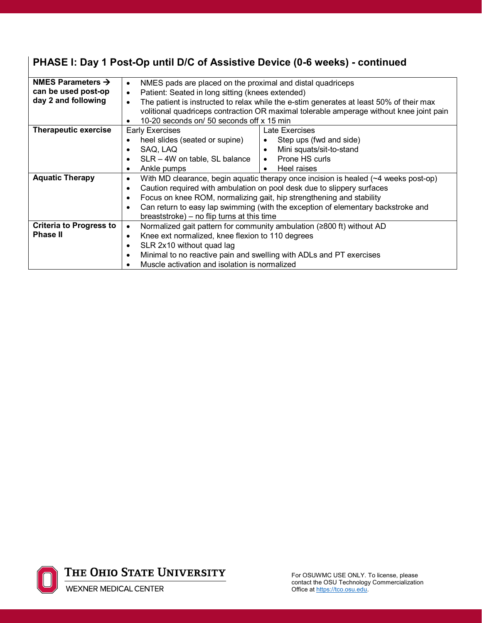| PHASE I: Day 1 Post-Op until D/C of Assistive Device (0-6 weeks) - continued |  |  |
|------------------------------------------------------------------------------|--|--|
|------------------------------------------------------------------------------|--|--|

| NMES Parameters $\rightarrow$  |                                                               |                                                                                           |  |  |
|--------------------------------|---------------------------------------------------------------|-------------------------------------------------------------------------------------------|--|--|
|                                | $\bullet$                                                     | NMES pads are placed on the proximal and distal quadriceps                                |  |  |
| can be used post-op            | Patient: Seated in long sitting (knees extended)<br>$\bullet$ |                                                                                           |  |  |
| day 2 and following            | $\bullet$                                                     | The patient is instructed to relax while the e-stim generates at least 50% of their max   |  |  |
|                                |                                                               | volitional quadriceps contraction OR maximal tolerable amperage without knee joint pain   |  |  |
|                                | 10-20 seconds on/ 50 seconds off x 15 min                     |                                                                                           |  |  |
| <b>Therapeutic exercise</b>    | <b>Early Exercises</b>                                        | Late Exercises                                                                            |  |  |
|                                | heel slides (seated or supine)                                | Step ups (fwd and side)                                                                   |  |  |
|                                | SAQ, LAQ<br>$\bullet$                                         | Mini squats/sit-to-stand<br>$\bullet$                                                     |  |  |
|                                | SLR - 4W on table, SL balance<br>$\bullet$                    | • Prone HS curls                                                                          |  |  |
|                                | Ankle pumps<br>$\bullet$                                      | Heel raises<br>$\bullet$                                                                  |  |  |
| <b>Aquatic Therapy</b>         | $\bullet$                                                     | With MD clearance, begin aquatic therapy once incision is healed $(\sim 4$ weeks post-op) |  |  |
|                                | $\bullet$                                                     | Caution required with ambulation on pool desk due to slippery surfaces                    |  |  |
|                                | $\bullet$                                                     | Focus on knee ROM, normalizing gait, hip strengthening and stability                      |  |  |
|                                | $\bullet$                                                     | Can return to easy lap swimming (with the exception of elementary backstroke and          |  |  |
|                                | breaststroke) – no flip turns at this time                    |                                                                                           |  |  |
| <b>Criteria to Progress to</b> | $\bullet$                                                     | Normalized gait pattern for community ambulation (≥800 ft) without AD                     |  |  |
| <b>Phase II</b>                | $\bullet$                                                     | Knee ext normalized, knee flexion to 110 degrees                                          |  |  |
|                                | SLR 2x10 without quad lag<br>$\bullet$                        |                                                                                           |  |  |
|                                | $\bullet$                                                     | Minimal to no reactive pain and swelling with ADLs and PT exercises                       |  |  |
|                                |                                                               | Muscle activation and isolation is normalized                                             |  |  |

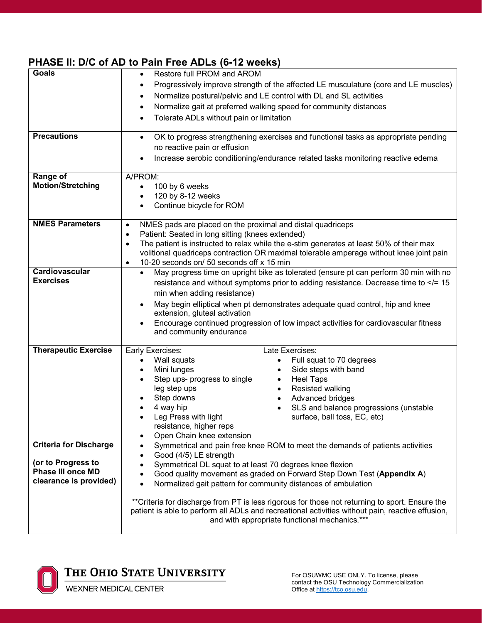## **PHASE II: D/C of AD to Pain Free ADLs (6-12 weeks)**

| <b>Goals</b><br><b>Precautions</b>                                                                        | Restore full PROM and AROM<br>$\bullet$<br>Progressively improve strength of the affected LE musculature (core and LE muscles)<br>$\bullet$<br>Normalize postural/pelvic and LE control with DL and SL activities<br>$\bullet$<br>Normalize gait at preferred walking speed for community distances<br>٠<br>Tolerate ADLs without pain or limitation<br>٠<br>OK to progress strengthening exercises and functional tasks as appropriate pending<br>$\bullet$<br>no reactive pain or effusion<br>Increase aerobic conditioning/endurance related tasks monitoring reactive edema    |                                                                                                                                                                                                                                     |  |
|-----------------------------------------------------------------------------------------------------------|------------------------------------------------------------------------------------------------------------------------------------------------------------------------------------------------------------------------------------------------------------------------------------------------------------------------------------------------------------------------------------------------------------------------------------------------------------------------------------------------------------------------------------------------------------------------------------|-------------------------------------------------------------------------------------------------------------------------------------------------------------------------------------------------------------------------------------|--|
| Range of<br><b>Motion/Stretching</b>                                                                      | A/PROM:<br>100 by 6 weeks<br>$\bullet$<br>120 by 8-12 weeks<br>Continue bicycle for ROM                                                                                                                                                                                                                                                                                                                                                                                                                                                                                            |                                                                                                                                                                                                                                     |  |
| <b>NMES Parameters</b>                                                                                    | NMES pads are placed on the proximal and distal quadriceps<br>$\bullet$<br>Patient: Seated in long sitting (knees extended)<br>$\bullet$<br>The patient is instructed to relax while the e-stim generates at least 50% of their max<br>$\bullet$<br>volitional quadriceps contraction OR maximal tolerable amperage without knee joint pain<br>10-20 seconds on/ 50 seconds off x 15 min<br>$\bullet$                                                                                                                                                                              |                                                                                                                                                                                                                                     |  |
| Cardiovascular<br><b>Exercises</b>                                                                        | May progress time on upright bike as tolerated (ensure pt can perform 30 min with no<br>$\bullet$<br>resistance and without symptoms prior to adding resistance. Decrease time to = 15<br min when adding resistance)<br>May begin elliptical when pt demonstrates adequate quad control, hip and knee<br>extension, gluteal activation<br>Encourage continued progression of low impact activities for cardiovascular fitness<br>and community endurance                                                                                                                          |                                                                                                                                                                                                                                     |  |
| <b>Therapeutic Exercise</b>                                                                               | Early Exercises:<br>Wall squats<br>Mini lunges<br>Step ups- progress to single<br>leg step ups<br>Step downs<br>4 way hip<br>Leg Press with light<br>resistance, higher reps<br>Open Chain knee extension                                                                                                                                                                                                                                                                                                                                                                          | Late Exercises:<br>Full squat to 70 degrees<br>Side steps with band<br><b>Heel Taps</b><br>$\bullet$<br>Resisted walking<br>$\bullet$<br>Advanced bridges<br>SLS and balance progressions (unstable<br>surface, ball toss, EC, etc) |  |
| <b>Criteria for Discharge</b><br>(or to Progress to<br><b>Phase III once MD</b><br>clearance is provided) | Symmetrical and pain free knee ROM to meet the demands of patients activities<br>$\bullet$<br>Good (4/5) LE strength<br>Symmetrical DL squat to at least 70 degrees knee flexion<br>Good quality movement as graded on Forward Step Down Test (Appendix A)<br>Normalized gait pattern for community distances of ambulation<br>**Criteria for discharge from PT is less rigorous for those not returning to sport. Ensure the<br>patient is able to perform all ADLs and recreational activities without pain, reactive effusion,<br>and with appropriate functional mechanics.*** |                                                                                                                                                                                                                                     |  |



THE OHIO STATE UNIVERSITY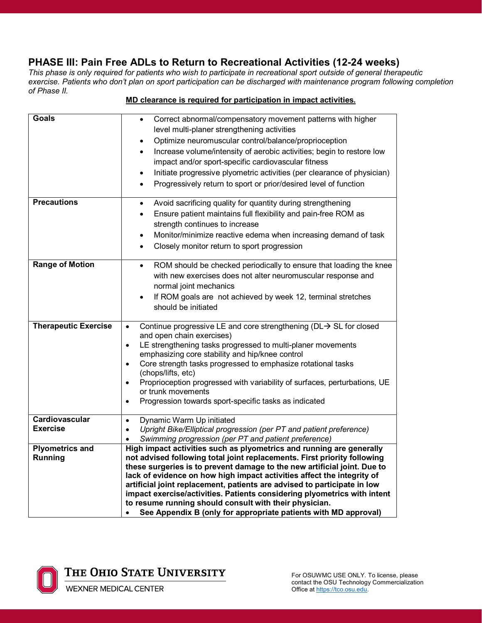### **PHASE III: Pain Free ADLs to Return to Recreational Activities (12-24 weeks)**

*This phase is only required for patients who wish to participate in recreational sport outside of general therapeutic exercise. Patients who don't plan on sport participation can be discharged with maintenance program following completion of Phase II.* 

#### **Goals** • Correct abnormal/compensatory movement patterns with higher level multi-planer strengthening activities • Optimize neuromuscular control/balance/proprioception • Increase volume/intensity of aerobic activities; begin to restore low impact and/or sport-specific cardiovascular fitness • Initiate progressive plyometric activities (per clearance of physician) • Progressively return to sport or prior/desired level of function **Precautions •** Avoid sacrificing quality for quantity during strengthening • Ensure patient maintains full flexibility and pain-free ROM as strength continues to increase • Monitor/minimize reactive edema when increasing demand of task • Closely monitor return to sport progression **Range of Motion**  $\bullet$  **ROM** should be checked periodically to ensure that loading the knee with new exercises does not alter neuromuscular response and normal joint mechanics If ROM goals are not achieved by week 12, terminal stretches should be initiated **Therapeutic Exercise**  $\bullet$  Continue progressive LE and core strengthening (DL $\rightarrow$  SL for closed and open chain exercises) • LE strengthening tasks progressed to multi-planer movements emphasizing core stability and hip/knee control • Core strength tasks progressed to emphasize rotational tasks (chops/lifts, etc) • Proprioception progressed with variability of surfaces, perturbations, UE or trunk movements • Progression towards sport-specific tasks as indicated **Cardiovascular Exercise** • Dynamic Warm Up initiated • *Upright Bike/Elliptical progression (per PT and patient preference)* • *Swimming progression (per PT and patient preference)* **Plyometrics and Running High impact activities such as plyometrics and running are generally not advised following total joint replacements. First priority following these surgeries is to prevent damage to the new artificial joint. Due to lack of evidence on how high impact activities affect the integrity of artificial joint replacement, patients are advised to participate in low impact exercise/activities. Patients considering plyometrics with intent to resume running should consult with their physician.**  • **See Appendix B (only for appropriate patients with MD approval)**

#### **MD clearance is required for participation in impact activities.**



The Ohio State University

For OSUWMC USE ONLY. To license, please contact the OSU Technology Commercialization Office at https://tco.osu.edu.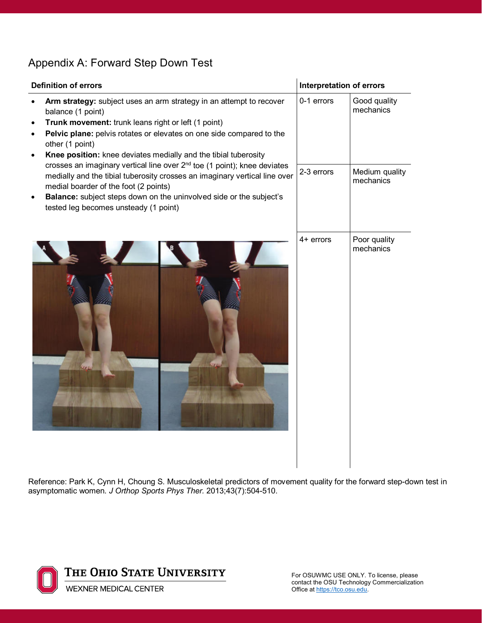## Appendix A: Forward Step Down Test

| <b>Definition of errors</b>                                                                                                                                                                                                                                                                                                                                                                                                                                                                                                                                                                                                                                                                      | <b>Interpretation of errors</b> |                                                          |
|--------------------------------------------------------------------------------------------------------------------------------------------------------------------------------------------------------------------------------------------------------------------------------------------------------------------------------------------------------------------------------------------------------------------------------------------------------------------------------------------------------------------------------------------------------------------------------------------------------------------------------------------------------------------------------------------------|---------------------------------|----------------------------------------------------------|
| Arm strategy: subject uses an arm strategy in an attempt to recover<br>balance (1 point)<br>Trunk movement: trunk leans right or left (1 point)<br>$\bullet$<br>Pelvic plane: pelvis rotates or elevates on one side compared to the<br>$\bullet$<br>other (1 point)<br>Knee position: knee deviates medially and the tibial tuberosity<br>$\bullet$<br>crosses an imaginary vertical line over 2 <sup>nd</sup> toe (1 point); knee deviates<br>medially and the tibial tuberosity crosses an imaginary vertical line over<br>medial boarder of the foot (2 points)<br>Balance: subject steps down on the uninvolved side or the subject's<br>$\bullet$<br>tested leg becomes unsteady (1 point) | 0-1 errors<br>2-3 errors        | Good quality<br>mechanics<br>Medium quality<br>mechanics |
|                                                                                                                                                                                                                                                                                                                                                                                                                                                                                                                                                                                                                                                                                                  | $4+$ errors                     | Poor quality<br>mechanics                                |

Reference: Park K, Cynn H, Choung S. Musculoskeletal predictors of movement quality for the forward step-down test in asymptomatic women. *J Orthop Sports Phys Ther.* 2013;43(7):504-510.



For OSUWMC USE ONLY. To license, please contact the OSU Technology Commercialization Office at https://tco.osu.edu.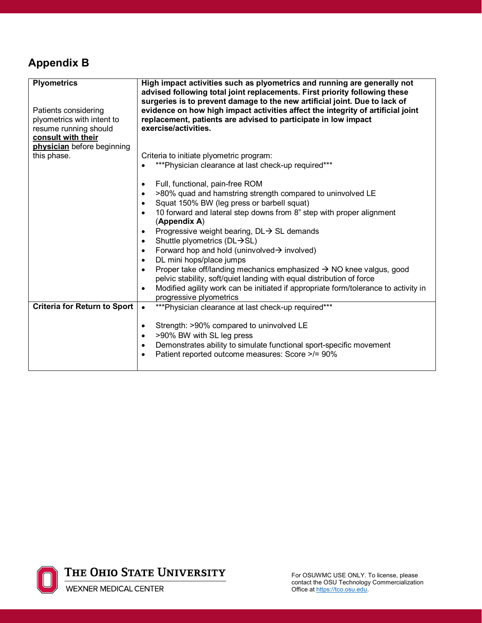## **Appendix B**

| <b>Plyometrics</b>                  | High impact activities such as plyometrics and running are generally not<br>advised following total joint replacements. First priority following these |  |  |
|-------------------------------------|--------------------------------------------------------------------------------------------------------------------------------------------------------|--|--|
|                                     | surgeries is to prevent damage to the new artificial joint. Due to lack of                                                                             |  |  |
| Patients considering                | evidence on how high impact activities affect the integrity of artificial joint                                                                        |  |  |
| plyometrics with intent to          | replacement, patients are advised to participate in low impact                                                                                         |  |  |
| resume running should               | exercise/activities.                                                                                                                                   |  |  |
| consult with their                  |                                                                                                                                                        |  |  |
| physician before beginning          |                                                                                                                                                        |  |  |
| this phase.                         | Criteria to initiate plyometric program:                                                                                                               |  |  |
|                                     | *** Physician clearance at last check-up required***                                                                                                   |  |  |
|                                     |                                                                                                                                                        |  |  |
|                                     | Full, functional, pain-free ROM                                                                                                                        |  |  |
|                                     | >80% quad and hamstring strength compared to uninvolved LE                                                                                             |  |  |
|                                     | Squat 150% BW (leg press or barbell squat)                                                                                                             |  |  |
|                                     | 10 forward and lateral step downs from 8" step with proper alignment                                                                                   |  |  |
|                                     | (Appendix A)                                                                                                                                           |  |  |
|                                     |                                                                                                                                                        |  |  |
|                                     | Progressive weight bearing, DL→ SL demands                                                                                                             |  |  |
|                                     | Shuttle plyometrics ( $DL \rightarrow SL$ )<br>$\bullet$                                                                                               |  |  |
|                                     | Forward hop and hold (uninvolved $\rightarrow$ involved)                                                                                               |  |  |
|                                     | DL mini hops/place jumps<br>$\bullet$                                                                                                                  |  |  |
|                                     | Proper take off/landing mechanics emphasized → NO knee valgus, good                                                                                    |  |  |
|                                     | pelvic stability, soft/quiet landing with equal distribution of force                                                                                  |  |  |
|                                     | Modified agility work can be initiated if appropriate form/tolerance to activity in<br>$\bullet$                                                       |  |  |
|                                     | progressive plyometrics                                                                                                                                |  |  |
| <b>Criteria for Return to Sport</b> | *** Physician clearance at last check-up required***<br>$\bullet$                                                                                      |  |  |
|                                     |                                                                                                                                                        |  |  |
|                                     | Strength: >90% compared to uninvolved LE                                                                                                               |  |  |
|                                     | >90% BW with SL leg press                                                                                                                              |  |  |
|                                     | Demonstrates ability to simulate functional sport-specific movement<br>$\bullet$                                                                       |  |  |
|                                     | Patient reported outcome measures: Score >/= 90%                                                                                                       |  |  |
|                                     | $\bullet$                                                                                                                                              |  |  |
|                                     |                                                                                                                                                        |  |  |

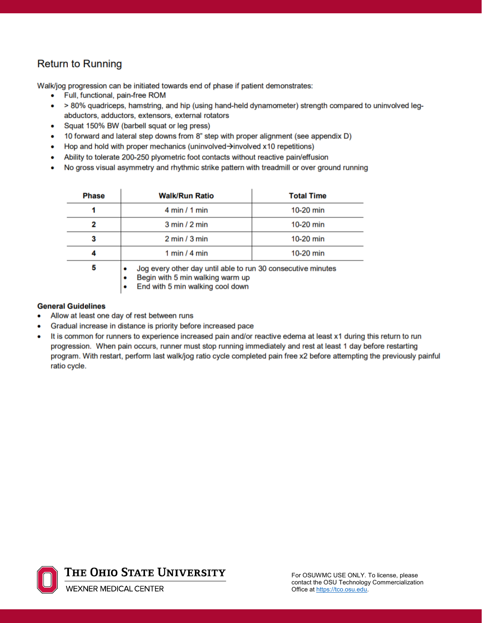## **Return to Running**

Walk/jog progression can be initiated towards end of phase if patient demonstrates:

- Full, functional, pain-free ROM
- > 80% quadriceps, hamstring, and hip (using hand-held dynamometer) strength compared to uninvolved legabductors, adductors, extensors, external rotators
- Squat 150% BW (barbell squat or leg press)  $\bullet$
- 10 forward and lateral step downs from 8" step with proper alignment (see appendix D) ۰
- Hop and hold with proper mechanics (uninvolved  $\rightarrow$  involved x10 repetitions) ٠
- Ability to tolerate 200-250 plyometric foot contacts without reactive pain/effusion ۰
- No gross visual asymmetry and rhythmic strike pattern with treadmill or over ground running  $\bullet$

| <b>Phase</b> | <b>Walk/Run Ratio</b>                                                                                                                | <b>Total Time</b> |
|--------------|--------------------------------------------------------------------------------------------------------------------------------------|-------------------|
|              | 4 min / 1 min                                                                                                                        | $10-20$ min       |
|              | $3 \text{ min}$ / $2 \text{ min}$                                                                                                    | 10-20 min         |
|              | $2 \text{ min}/3 \text{ min}$                                                                                                        | $10-20$ min       |
|              | 1 min $/$ 4 min                                                                                                                      | $10-20$ min       |
| 5            | Jog every other day until able to run 30 consecutive minutes<br>Begin with 5 min walking warm up<br>End with 5 min walking cool down |                   |

#### **General Guidelines**

- Allow at least one day of rest between runs
- Gradual increase in distance is priority before increased pace
- It is common for runners to experience increased pain and/or reactive edema at least x1 during this return to run progression. When pain occurs, runner must stop running immediately and rest at least 1 day before restarting program. With restart, perform last walk/jog ratio cycle completed pain free x2 before attempting the previously painful ratio cycle.